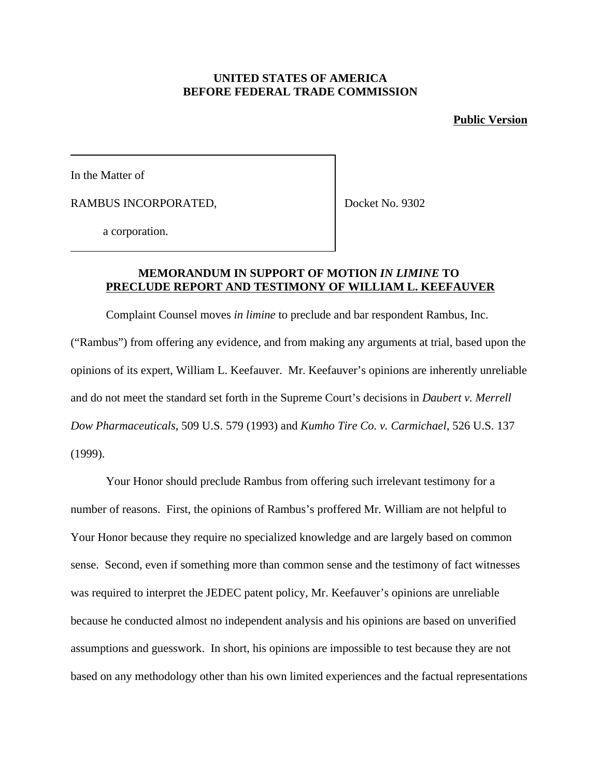## **UNITED STATES OF AMERICA BEFORE FEDERAL TRADE COMMISSION**

#### **Public Version**

In the Matter of

RAMBUS INCORPORATED,

Docket No. 9302

a corporation.

### **MEMORANDUM IN SUPPORT OF MOTION** *IN LIMINE* **TO PRECLUDE REPORT AND TESTIMONY OF WILLIAM L. KEEFAUVER**

Complaint Counsel moves *in limine* to preclude and bar respondent Rambus, Inc. ("Rambus") from offering any evidence, and from making any arguments at trial, based upon the opinions of its expert, William L. Keefauver. Mr. Keefauver's opinions are inherently unreliable and do not meet the standard set forth in the Supreme Court's decisions in *Daubert v. Merrell Dow Pharmaceuticals*, 509 U.S. 579 (1993) and *Kumho Tire Co. v. Carmichael*, 526 U.S. 137 (1999).

Your Honor should preclude Rambus from offering such irrelevant testimony for a number of reasons. First, the opinions of Rambus's proffered Mr. William are not helpful to Your Honor because they require no specialized knowledge and are largely based on common sense. Second, even if something more than common sense and the testimony of fact witnesses was required to interpret the JEDEC patent policy, Mr. Keefauver's opinions are unreliable because he conducted almost no independent analysis and his opinions are based on unverified assumptions and guesswork. In short, his opinions are impossible to test because they are not based on any methodology other than his own limited experiences and the factual representations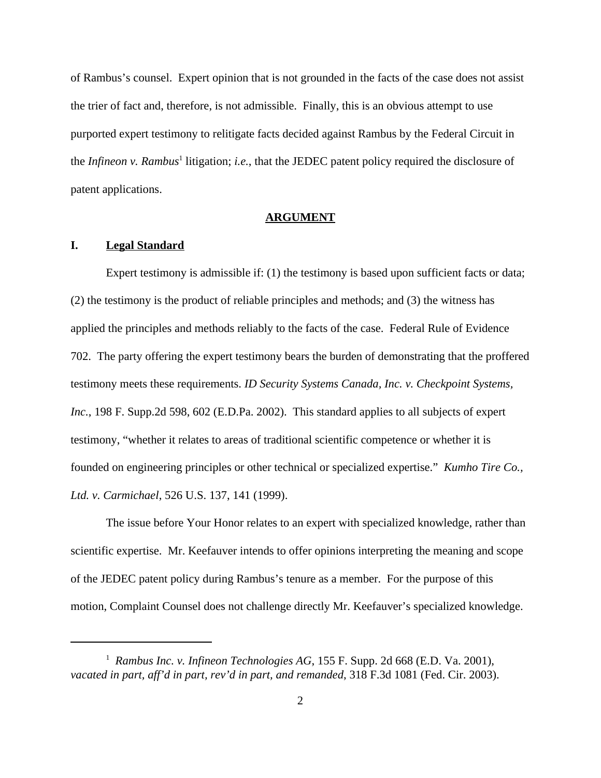of Rambus's counsel. Expert opinion that is not grounded in the facts of the case does not assist the trier of fact and, therefore, is not admissible. Finally, this is an obvious attempt to use purported expert testimony to relitigate facts decided against Rambus by the Federal Circuit in the *Infineon v. Rambus*<sup>1</sup> litigation; *i.e.*, that the JEDEC patent policy required the disclosure of patent applications.

#### **ARGUMENT**

## **I. Legal Standard**

Expert testimony is admissible if: (1) the testimony is based upon sufficient facts or data; (2) the testimony is the product of reliable principles and methods; and (3) the witness has applied the principles and methods reliably to the facts of the case. Federal Rule of Evidence 702. The party offering the expert testimony bears the burden of demonstrating that the proffered testimony meets these requirements. *ID Security Systems Canada, Inc. v. Checkpoint Systems, Inc.*, 198 F. Supp.2d 598, 602 (E.D.Pa. 2002). This standard applies to all subjects of expert testimony, "whether it relates to areas of traditional scientific competence or whether it is founded on engineering principles or other technical or specialized expertise." *Kumho Tire Co., Ltd. v. Carmichael*, 526 U.S. 137, 141 (1999).

The issue before Your Honor relates to an expert with specialized knowledge, rather than scientific expertise. Mr. Keefauver intends to offer opinions interpreting the meaning and scope of the JEDEC patent policy during Rambus's tenure as a member. For the purpose of this motion, Complaint Counsel does not challenge directly Mr. Keefauver's specialized knowledge.

<sup>&</sup>lt;sup>1</sup> Rambus Inc. v. Infineon Technologies AG, 155 F. Supp. 2d 668 (E.D. Va. 2001), *vacated in part, aff'd in part, rev'd in part, and remanded*, 318 F.3d 1081 (Fed. Cir. 2003).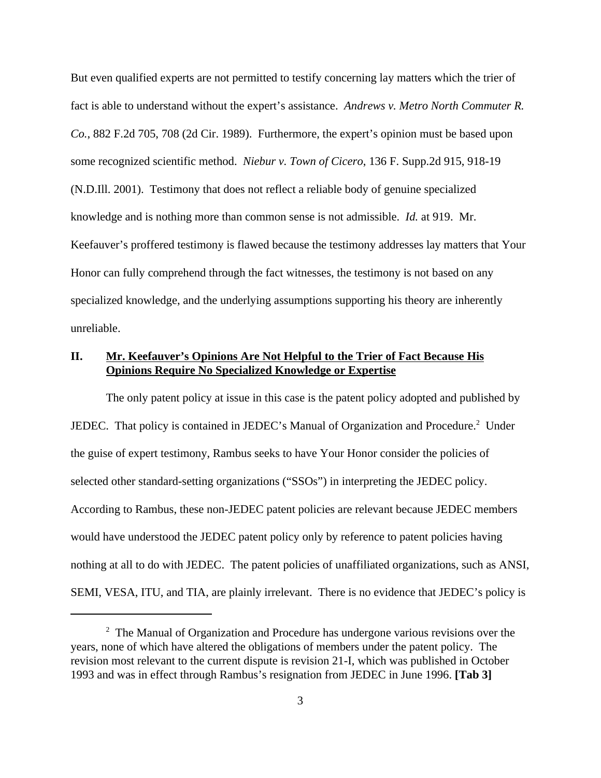But even qualified experts are not permitted to testify concerning lay matters which the trier of fact is able to understand without the expert's assistance. *Andrews v. Metro North Commuter R. Co.*, 882 F.2d 705, 708 (2d Cir. 1989). Furthermore, the expert's opinion must be based upon some recognized scientific method. *Niebur v. Town of Cicero*, 136 F. Supp.2d 915, 918-19 (N.D.Ill. 2001). Testimony that does not reflect a reliable body of genuine specialized knowledge and is nothing more than common sense is not admissible. *Id.* at 919. Mr. Keefauver's proffered testimony is flawed because the testimony addresses lay matters that Your Honor can fully comprehend through the fact witnesses, the testimony is not based on any specialized knowledge, and the underlying assumptions supporting his theory are inherently unreliable.

## **II. Mr. Keefauver's Opinions Are Not Helpful to the Trier of Fact Because His Opinions Require No Specialized Knowledge or Expertise**

The only patent policy at issue in this case is the patent policy adopted and published by JEDEC. That policy is contained in JEDEC's Manual of Organization and Procedure.<sup>2</sup> Under the guise of expert testimony, Rambus seeks to have Your Honor consider the policies of selected other standard-setting organizations ("SSOs") in interpreting the JEDEC policy. According to Rambus, these non-JEDEC patent policies are relevant because JEDEC members would have understood the JEDEC patent policy only by reference to patent policies having nothing at all to do with JEDEC. The patent policies of unaffiliated organizations, such as ANSI, SEMI, VESA, ITU, and TIA, are plainly irrelevant. There is no evidence that JEDEC's policy is

<sup>&</sup>lt;sup>2</sup> The Manual of Organization and Procedure has undergone various revisions over the years, none of which have altered the obligations of members under the patent policy. The revision most relevant to the current dispute is revision 21-I, which was published in October 1993 and was in effect through Rambus's resignation from JEDEC in June 1996. **[Tab 3]**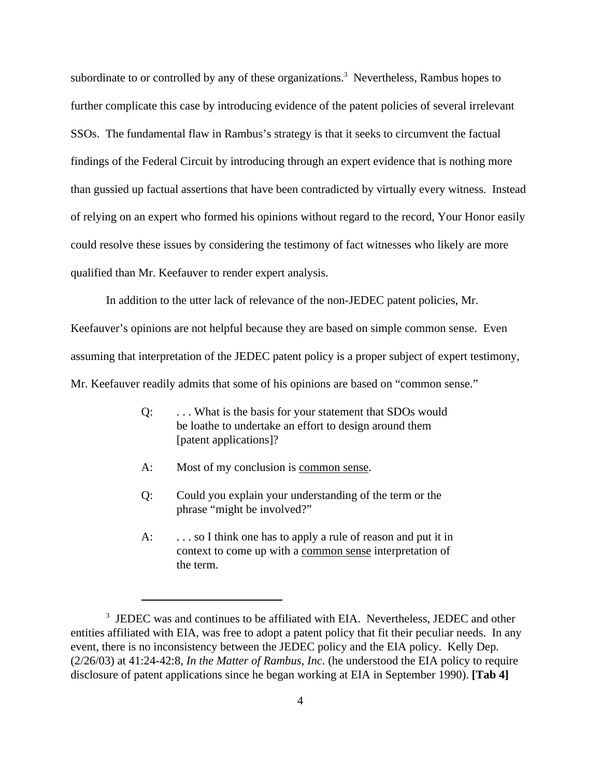subordinate to or controlled by any of these organizations.<sup>3</sup> Nevertheless, Rambus hopes to further complicate this case by introducing evidence of the patent policies of several irrelevant SSOs. The fundamental flaw in Rambus's strategy is that it seeks to circumvent the factual findings of the Federal Circuit by introducing through an expert evidence that is nothing more than gussied up factual assertions that have been contradicted by virtually every witness. Instead of relying on an expert who formed his opinions without regard to the record, Your Honor easily could resolve these issues by considering the testimony of fact witnesses who likely are more qualified than Mr. Keefauver to render expert analysis.

In addition to the utter lack of relevance of the non-JEDEC patent policies, Mr. Keefauver's opinions are not helpful because they are based on simple common sense. Even assuming that interpretation of the JEDEC patent policy is a proper subject of expert testimony,

Mr. Keefauver readily admits that some of his opinions are based on "common sense."

- Q: . . . What is the basis for your statement that SDOs would be loathe to undertake an effort to design around them [patent applications]?
- A: Most of my conclusion is <u>common sense</u>.
- Q: Could you explain your understanding of the term or the phrase "might be involved?"
- A: ... so I think one has to apply a rule of reason and put it in context to come up with a common sense interpretation of the term.

<sup>&</sup>lt;sup>3</sup> JEDEC was and continues to be affiliated with EIA. Nevertheless, JEDEC and other entities affiliated with EIA, was free to adopt a patent policy that fit their peculiar needs. In any event, there is no inconsistency between the JEDEC policy and the EIA policy. Kelly Dep. (2/26/03) at 41:24-42:8, *In the Matter of Rambus, Inc.* (he understood the EIA policy to require disclosure of patent applications since he began working at EIA in September 1990). **[Tab 4]**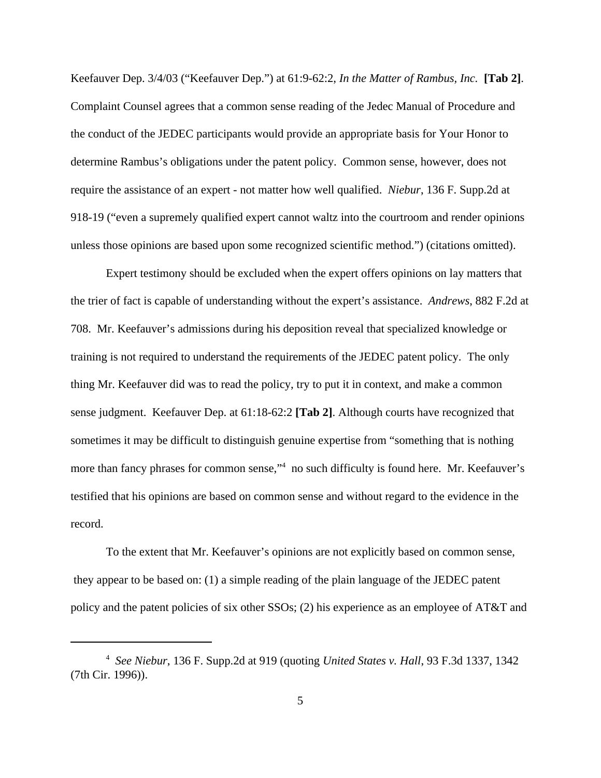Keefauver Dep. 3/4/03 ("Keefauver Dep.") at 61:9-62:2, *In the Matter of Rambus, Inc.* **[Tab 2]**. Complaint Counsel agrees that a common sense reading of the Jedec Manual of Procedure and the conduct of the JEDEC participants would provide an appropriate basis for Your Honor to determine Rambus's obligations under the patent policy. Common sense, however, does not require the assistance of an expert - not matter how well qualified. *Niebur*, 136 F. Supp.2d at 918-19 ("even a supremely qualified expert cannot waltz into the courtroom and render opinions unless those opinions are based upon some recognized scientific method.") (citations omitted).

Expert testimony should be excluded when the expert offers opinions on lay matters that the trier of fact is capable of understanding without the expert's assistance. *Andrews*, 882 F.2d at 708. Mr. Keefauver's admissions during his deposition reveal that specialized knowledge or training is not required to understand the requirements of the JEDEC patent policy. The only thing Mr. Keefauver did was to read the policy, try to put it in context, and make a common sense judgment. Keefauver Dep. at 61:18-62:2 **[Tab 2]**. Although courts have recognized that sometimes it may be difficult to distinguish genuine expertise from "something that is nothing more than fancy phrases for common sense,"<sup>4</sup> no such difficulty is found here. Mr. Keefauver's testified that his opinions are based on common sense and without regard to the evidence in the record.

To the extent that Mr. Keefauver's opinions are not explicitly based on common sense, they appear to be based on: (1) a simple reading of the plain language of the JEDEC patent policy and the patent policies of six other SSOs; (2) his experience as an employee of AT&T and

<sup>4</sup> *See Niebur*, 136 F. Supp.2d at 919 (quoting *United States v. Hall*, 93 F.3d 1337, 1342 (7th Cir. 1996)).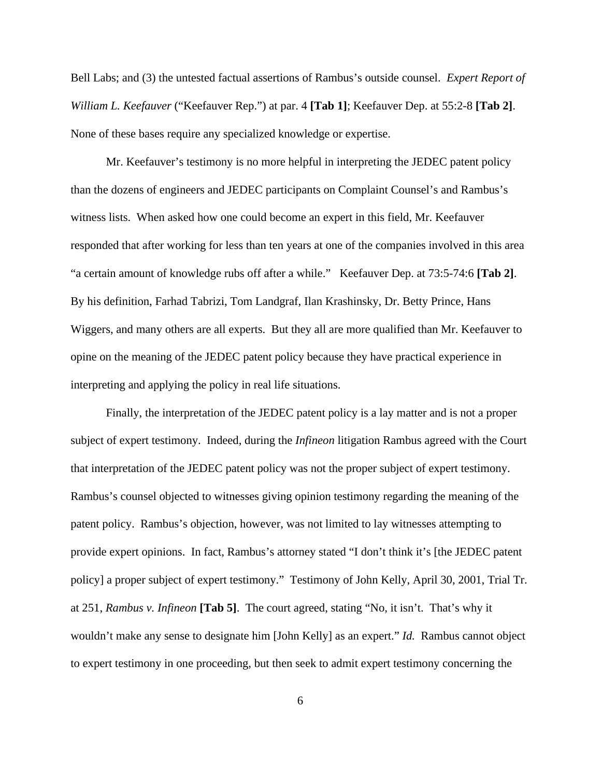Bell Labs; and (3) the untested factual assertions of Rambus's outside counsel. *Expert Report of William L. Keefauver* ("Keefauver Rep.") at par. 4 **[Tab 1]**; Keefauver Dep. at 55:2-8 **[Tab 2]**. None of these bases require any specialized knowledge or expertise.

Mr. Keefauver's testimony is no more helpful in interpreting the JEDEC patent policy than the dozens of engineers and JEDEC participants on Complaint Counsel's and Rambus's witness lists. When asked how one could become an expert in this field, Mr. Keefauver responded that after working for less than ten years at one of the companies involved in this area "a certain amount of knowledge rubs off after a while." Keefauver Dep. at 73:5-74:6 **[Tab 2]**. By his definition, Farhad Tabrizi, Tom Landgraf, Ilan Krashinsky, Dr. Betty Prince, Hans Wiggers, and many others are all experts. But they all are more qualified than Mr. Keefauver to opine on the meaning of the JEDEC patent policy because they have practical experience in interpreting and applying the policy in real life situations.

Finally, the interpretation of the JEDEC patent policy is a lay matter and is not a proper subject of expert testimony. Indeed, during the *Infineon* litigation Rambus agreed with the Court that interpretation of the JEDEC patent policy was not the proper subject of expert testimony. Rambus's counsel objected to witnesses giving opinion testimony regarding the meaning of the patent policy. Rambus's objection, however, was not limited to lay witnesses attempting to provide expert opinions. In fact, Rambus's attorney stated "I don't think it's [the JEDEC patent policy] a proper subject of expert testimony." Testimony of John Kelly, April 30, 2001, Trial Tr. at 251, *Rambus v. Infineon* **[Tab 5]**. The court agreed, stating "No, it isn't. That's why it wouldn't make any sense to designate him [John Kelly] as an expert." *Id.* Rambus cannot object to expert testimony in one proceeding, but then seek to admit expert testimony concerning the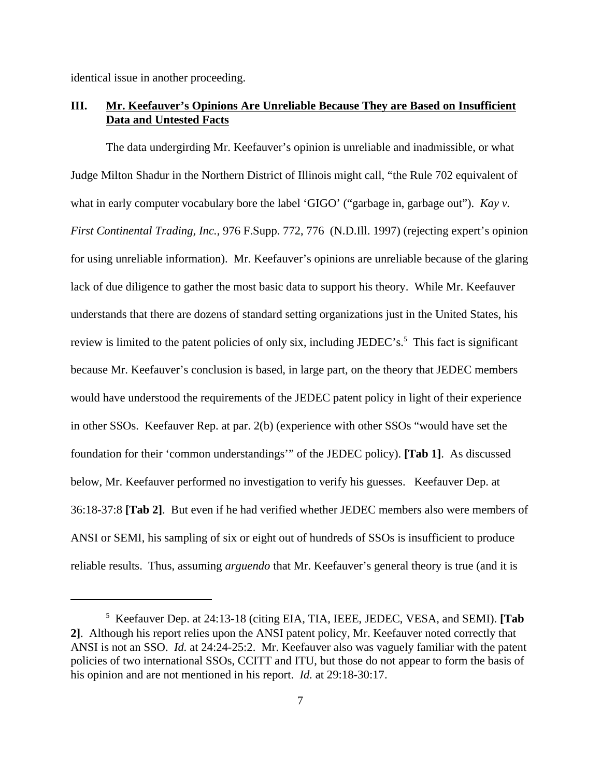identical issue in another proceeding.

## **III. Mr. Keefauver's Opinions Are Unreliable Because They are Based on Insufficient Data and Untested Facts**

The data undergirding Mr. Keefauver's opinion is unreliable and inadmissible, or what Judge Milton Shadur in the Northern District of Illinois might call, "the Rule 702 equivalent of what in early computer vocabulary bore the label 'GIGO' ("garbage in, garbage out"). *Kay v. First Continental Trading, Inc.*, 976 F.Supp. 772, 776 (N.D.Ill. 1997) (rejecting expert's opinion for using unreliable information). Mr. Keefauver's opinions are unreliable because of the glaring lack of due diligence to gather the most basic data to support his theory. While Mr. Keefauver understands that there are dozens of standard setting organizations just in the United States, his review is limited to the patent policies of only six, including JEDEC's.<sup>5</sup> This fact is significant because Mr. Keefauver's conclusion is based, in large part, on the theory that JEDEC members would have understood the requirements of the JEDEC patent policy in light of their experience in other SSOs. Keefauver Rep. at par. 2(b) (experience with other SSOs "would have set the foundation for their 'common understandings'" of the JEDEC policy). **[Tab 1]**. As discussed below, Mr. Keefauver performed no investigation to verify his guesses. Keefauver Dep. at 36:18-37:8 **[Tab 2]**. But even if he had verified whether JEDEC members also were members of ANSI or SEMI, his sampling of six or eight out of hundreds of SSOs is insufficient to produce reliable results. Thus, assuming *arguendo* that Mr. Keefauver's general theory is true (and it is

<sup>5</sup> Keefauver Dep. at 24:13-18 (citing EIA, TIA, IEEE, JEDEC, VESA, and SEMI). **[Tab 2]**. Although his report relies upon the ANSI patent policy, Mr. Keefauver noted correctly that ANSI is not an SSO. *Id.* at 24:24-25:2. Mr. Keefauver also was vaguely familiar with the patent policies of two international SSOs, CCITT and ITU, but those do not appear to form the basis of his opinion and are not mentioned in his report. *Id.* at 29:18-30:17.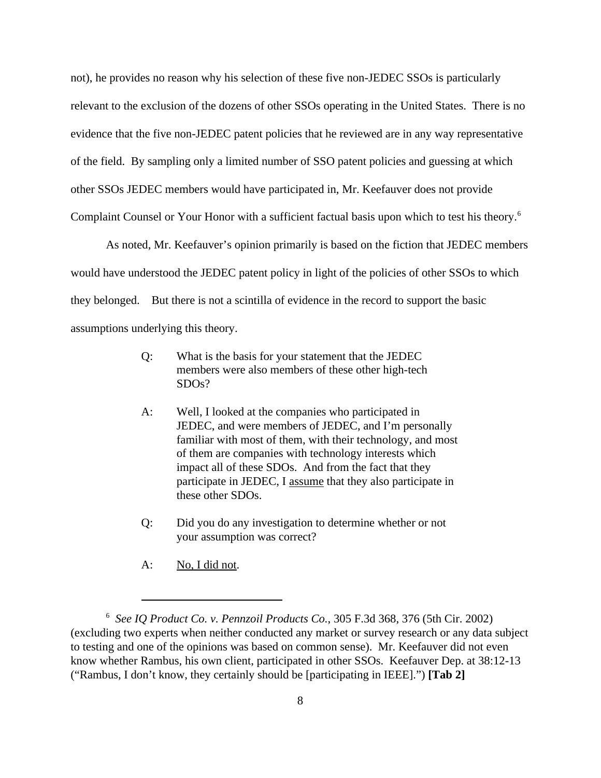not), he provides no reason why his selection of these five non-JEDEC SSOs is particularly relevant to the exclusion of the dozens of other SSOs operating in the United States. There is no evidence that the five non-JEDEC patent policies that he reviewed are in any way representative of the field. By sampling only a limited number of SSO patent policies and guessing at which other SSOs JEDEC members would have participated in, Mr. Keefauver does not provide Complaint Counsel or Your Honor with a sufficient factual basis upon which to test his theory.<sup>6</sup>

As noted, Mr. Keefauver's opinion primarily is based on the fiction that JEDEC members would have understood the JEDEC patent policy in light of the policies of other SSOs to which they belonged. But there is not a scintilla of evidence in the record to support the basic assumptions underlying this theory.

- Q: What is the basis for your statement that the JEDEC members were also members of these other high-tech SDOs?
- A: Well, I looked at the companies who participated in JEDEC, and were members of JEDEC, and I'm personally familiar with most of them, with their technology, and most of them are companies with technology interests which impact all of these SDOs. And from the fact that they participate in JEDEC, I assume that they also participate in these other SDOs.
- Q: Did you do any investigation to determine whether or not your assumption was correct?
- A: No, I did not.

<sup>6</sup> *See IQ Product Co. v. Pennzoil Products Co.*, 305 F.3d 368, 376 (5th Cir. 2002) (excluding two experts when neither conducted any market or survey research or any data subject to testing and one of the opinions was based on common sense). Mr. Keefauver did not even know whether Rambus, his own client, participated in other SSOs. Keefauver Dep. at 38:12-13 ("Rambus, I don't know, they certainly should be [participating in IEEE].") **[Tab 2]**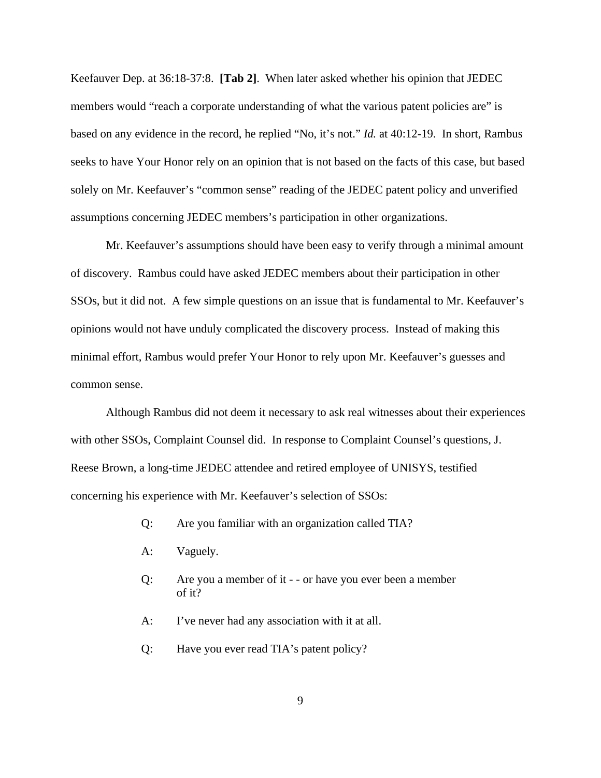Keefauver Dep. at 36:18-37:8. **[Tab 2]**. When later asked whether his opinion that JEDEC members would "reach a corporate understanding of what the various patent policies are" is based on any evidence in the record, he replied "No, it's not." *Id.* at 40:12-19. In short, Rambus seeks to have Your Honor rely on an opinion that is not based on the facts of this case, but based solely on Mr. Keefauver's "common sense" reading of the JEDEC patent policy and unverified assumptions concerning JEDEC members's participation in other organizations.

Mr. Keefauver's assumptions should have been easy to verify through a minimal amount of discovery. Rambus could have asked JEDEC members about their participation in other SSOs, but it did not. A few simple questions on an issue that is fundamental to Mr. Keefauver's opinions would not have unduly complicated the discovery process. Instead of making this minimal effort, Rambus would prefer Your Honor to rely upon Mr. Keefauver's guesses and common sense.

Although Rambus did not deem it necessary to ask real witnesses about their experiences with other SSOs, Complaint Counsel did. In response to Complaint Counsel's questions, J. Reese Brown, a long-time JEDEC attendee and retired employee of UNISYS, testified concerning his experience with Mr. Keefauver's selection of SSOs:

- Q: Are you familiar with an organization called TIA?
- A: Vaguely.
- Q: Are you a member of it - or have you ever been a member of it?
- A: I've never had any association with it at all.
- Q: Have you ever read TIA's patent policy?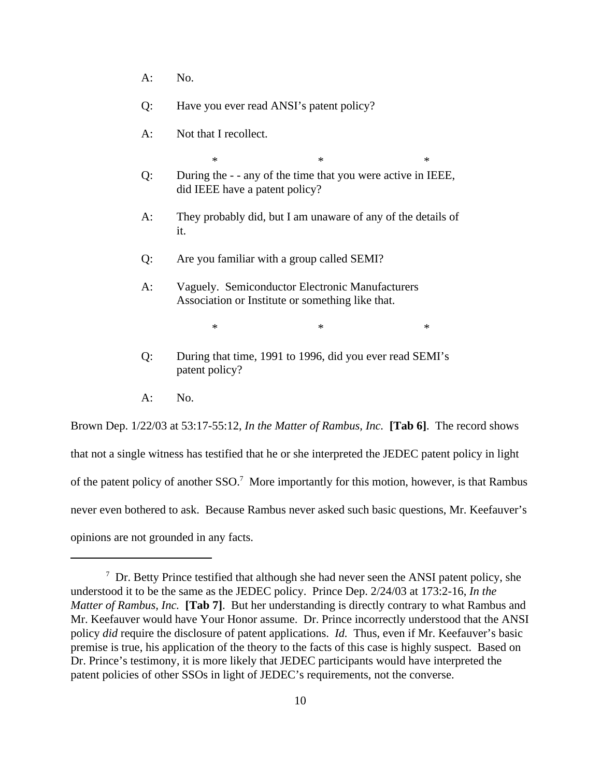- $A:$  No.
- Q: Have you ever read ANSI's patent policy?
- A: Not that I recollect.
- $*$   $*$   $*$ Q: During the - - any of the time that you were active in IEEE, did IEEE have a patent policy?
- A: They probably did, but I am unaware of any of the details of it.
- Q: Are you familiar with a group called SEMI?
- A: Vaguely. Semiconductor Electronic Manufacturers Association or Institute or something like that.

 $*$   $*$   $*$ 

- Q: During that time, 1991 to 1996, did you ever read SEMI's patent policy?
- $A:$  No.

Brown Dep. 1/22/03 at 53:17-55:12, *In the Matter of Rambus, Inc.* **[Tab 6]**. The record shows that not a single witness has testified that he or she interpreted the JEDEC patent policy in light of the patent policy of another SSO.<sup>7</sup> More importantly for this motion, however, is that Rambus never even bothered to ask. Because Rambus never asked such basic questions, Mr. Keefauver's opinions are not grounded in any facts.

 $7$  Dr. Betty Prince testified that although she had never seen the ANSI patent policy, she understood it to be the same as the JEDEC policy. Prince Dep. 2/24/03 at 173:2-16, *In the Matter of Rambus, Inc.* **[Tab 7]**. But her understanding is directly contrary to what Rambus and Mr. Keefauver would have Your Honor assume. Dr. Prince incorrectly understood that the ANSI policy *did* require the disclosure of patent applications. *Id.* Thus, even if Mr. Keefauver's basic premise is true, his application of the theory to the facts of this case is highly suspect. Based on Dr. Prince's testimony, it is more likely that JEDEC participants would have interpreted the patent policies of other SSOs in light of JEDEC's requirements, not the converse.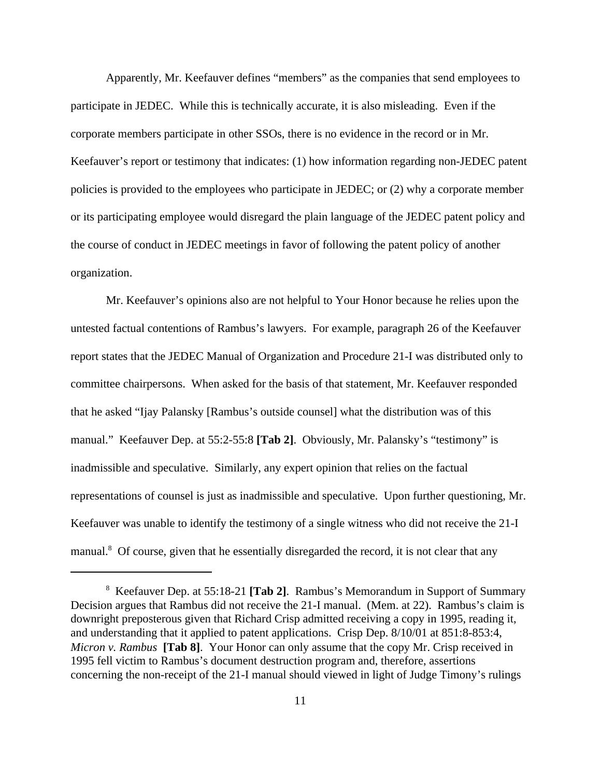Apparently, Mr. Keefauver defines "members" as the companies that send employees to participate in JEDEC. While this is technically accurate, it is also misleading. Even if the corporate members participate in other SSOs, there is no evidence in the record or in Mr. Keefauver's report or testimony that indicates: (1) how information regarding non-JEDEC patent policies is provided to the employees who participate in JEDEC; or (2) why a corporate member or its participating employee would disregard the plain language of the JEDEC patent policy and the course of conduct in JEDEC meetings in favor of following the patent policy of another organization.

Mr. Keefauver's opinions also are not helpful to Your Honor because he relies upon the untested factual contentions of Rambus's lawyers. For example, paragraph 26 of the Keefauver report states that the JEDEC Manual of Organization and Procedure 21-I was distributed only to committee chairpersons. When asked for the basis of that statement, Mr. Keefauver responded that he asked "Ijay Palansky [Rambus's outside counsel] what the distribution was of this manual." Keefauver Dep. at 55:2-55:8 **[Tab 2]**. Obviously, Mr. Palansky's "testimony" is inadmissible and speculative. Similarly, any expert opinion that relies on the factual representations of counsel is just as inadmissible and speculative. Upon further questioning, Mr. Keefauver was unable to identify the testimony of a single witness who did not receive the 21-I manual.<sup>8</sup> Of course, given that he essentially disregarded the record, it is not clear that any

<sup>8</sup> Keefauver Dep. at 55:18-21 **[Tab 2]**. Rambus's Memorandum in Support of Summary Decision argues that Rambus did not receive the 21-I manual. (Mem. at 22). Rambus's claim is downright preposterous given that Richard Crisp admitted receiving a copy in 1995, reading it, and understanding that it applied to patent applications. Crisp Dep. 8/10/01 at 851:8-853:4, *Micron v. Rambus* **[Tab 8]**. Your Honor can only assume that the copy Mr. Crisp received in 1995 fell victim to Rambus's document destruction program and, therefore, assertions concerning the non-receipt of the 21-I manual should viewed in light of Judge Timony's rulings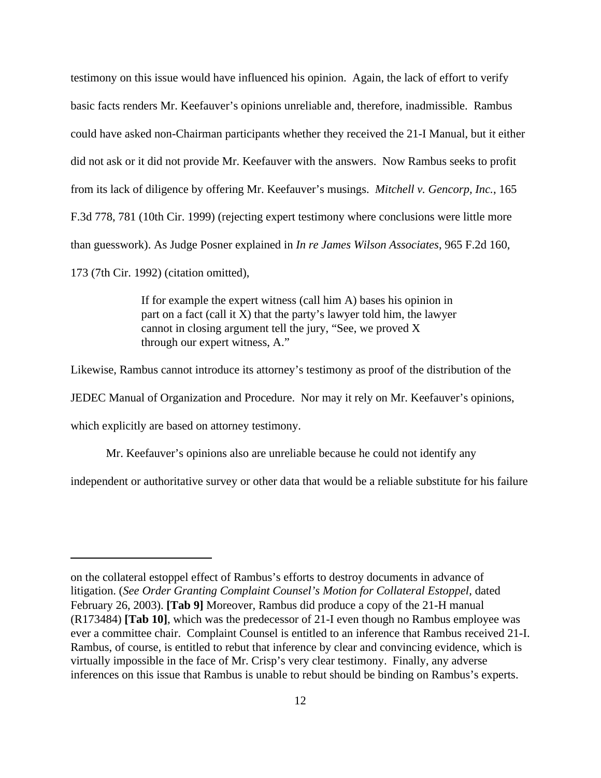testimony on this issue would have influenced his opinion. Again, the lack of effort to verify basic facts renders Mr. Keefauver's opinions unreliable and, therefore, inadmissible. Rambus could have asked non-Chairman participants whether they received the 21-I Manual, but it either did not ask or it did not provide Mr. Keefauver with the answers. Now Rambus seeks to profit from its lack of diligence by offering Mr. Keefauver's musings. *Mitchell v. Gencorp, Inc.*, 165 F.3d 778, 781 (10th Cir. 1999) (rejecting expert testimony where conclusions were little more than guesswork). As Judge Posner explained in *In re James Wilson Associates*, 965 F.2d 160, 173 (7th Cir. 1992) (citation omitted),

> If for example the expert witness (call him A) bases his opinion in part on a fact (call it  $X$ ) that the party's lawyer told him, the lawyer cannot in closing argument tell the jury, "See, we proved X through our expert witness, A."

Likewise, Rambus cannot introduce its attorney's testimony as proof of the distribution of the JEDEC Manual of Organization and Procedure. Nor may it rely on Mr. Keefauver's opinions, which explicitly are based on attorney testimony.

Mr. Keefauver's opinions also are unreliable because he could not identify any

independent or authoritative survey or other data that would be a reliable substitute for his failure

on the collateral estoppel effect of Rambus's efforts to destroy documents in advance of litigation. (*See Order Granting Complaint Counsel's Motion for Collateral Estoppel*, dated February 26, 2003). **[Tab 9]** Moreover, Rambus did produce a copy of the 21-H manual (R173484) **[Tab 10]**, which was the predecessor of 21-I even though no Rambus employee was ever a committee chair. Complaint Counsel is entitled to an inference that Rambus received 21-I. Rambus, of course, is entitled to rebut that inference by clear and convincing evidence, which is virtually impossible in the face of Mr. Crisp's very clear testimony. Finally, any adverse inferences on this issue that Rambus is unable to rebut should be binding on Rambus's experts.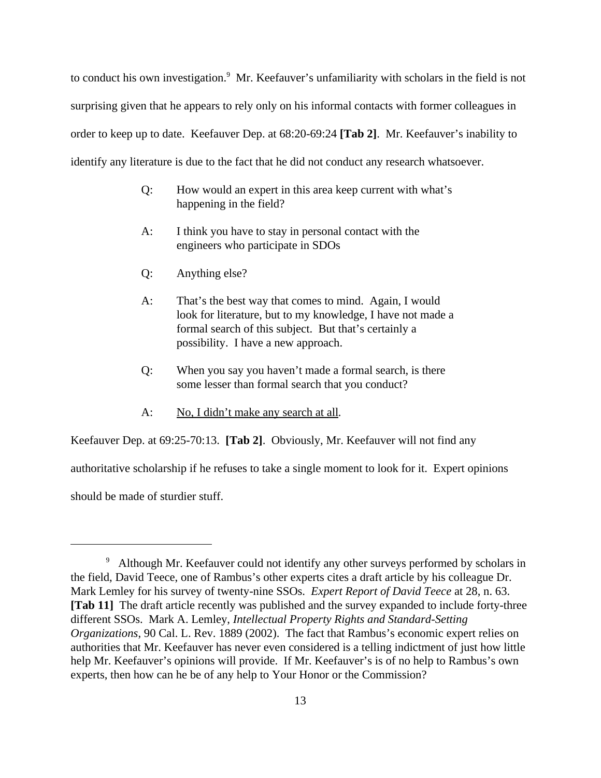to conduct his own investigation.<sup>9</sup> Mr. Keefauver's unfamiliarity with scholars in the field is not surprising given that he appears to rely only on his informal contacts with former colleagues in order to keep up to date. Keefauver Dep. at 68:20-69:24 **[Tab 2]**. Mr. Keefauver's inability to identify any literature is due to the fact that he did not conduct any research whatsoever.

- Q: How would an expert in this area keep current with what's happening in the field?
- A: I think you have to stay in personal contact with the engineers who participate in SDOs
- Q: Anything else?
- A: That's the best way that comes to mind. Again, I would look for literature, but to my knowledge, I have not made a formal search of this subject. But that's certainly a possibility. I have a new approach.
- Q: When you say you haven't made a formal search, is there some lesser than formal search that you conduct?
- A: No, I didn't make any search at all*.*

Keefauver Dep. at 69:25-70:13. **[Tab 2]**. Obviously, Mr. Keefauver will not find any

authoritative scholarship if he refuses to take a single moment to look for it. Expert opinions

should be made of sturdier stuff.

<sup>&</sup>lt;sup>9</sup> Although Mr. Keefauver could not identify any other surveys performed by scholars in the field, David Teece, one of Rambus's other experts cites a draft article by his colleague Dr. Mark Lemley for his survey of twenty-nine SSOs. *Expert Report of David Teece* at 28, n. 63. **[Tab 11]** The draft article recently was published and the survey expanded to include forty-three different SSOs. Mark A. Lemley, *Intellectual Property Rights and Standard-Setting Organizations*, 90 Cal. L. Rev. 1889 (2002). The fact that Rambus's economic expert relies on authorities that Mr. Keefauver has never even considered is a telling indictment of just how little help Mr. Keefauver's opinions will provide. If Mr. Keefauver's is of no help to Rambus's own experts, then how can he be of any help to Your Honor or the Commission?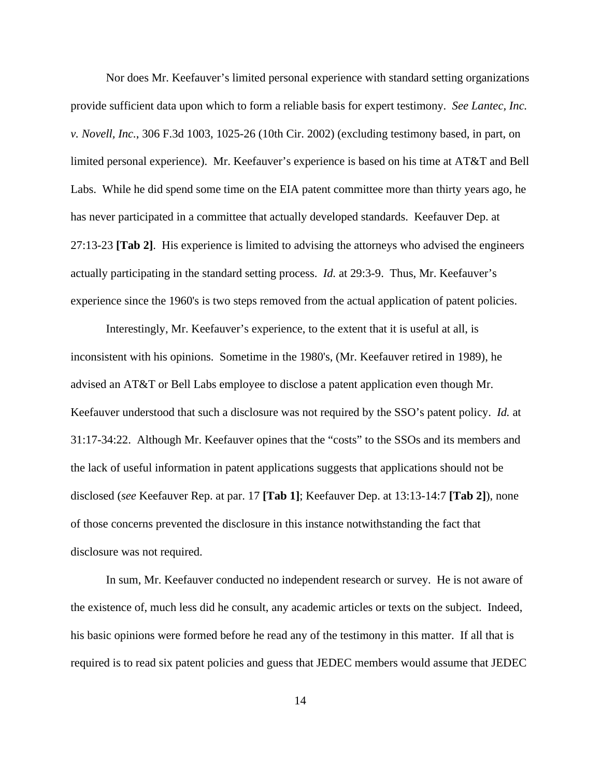Nor does Mr. Keefauver's limited personal experience with standard setting organizations provide sufficient data upon which to form a reliable basis for expert testimony. *See Lantec, Inc. v. Novell, Inc.*, 306 F.3d 1003, 1025-26 (10th Cir. 2002) (excluding testimony based, in part, on limited personal experience). Mr. Keefauver's experience is based on his time at AT&T and Bell Labs. While he did spend some time on the EIA patent committee more than thirty years ago, he has never participated in a committee that actually developed standards. Keefauver Dep. at 27:13-23 **[Tab 2]**. His experience is limited to advising the attorneys who advised the engineers actually participating in the standard setting process. *Id.* at 29:3-9. Thus, Mr. Keefauver's experience since the 1960's is two steps removed from the actual application of patent policies.

Interestingly, Mr. Keefauver's experience, to the extent that it is useful at all, is inconsistent with his opinions. Sometime in the 1980's, (Mr. Keefauver retired in 1989), he advised an AT&T or Bell Labs employee to disclose a patent application even though Mr. Keefauver understood that such a disclosure was not required by the SSO's patent policy. *Id.* at 31:17-34:22. Although Mr. Keefauver opines that the "costs" to the SSOs and its members and the lack of useful information in patent applications suggests that applications should not be disclosed (*see* Keefauver Rep. at par. 17 **[Tab 1]**; Keefauver Dep. at 13:13-14:7 **[Tab 2]**), none of those concerns prevented the disclosure in this instance notwithstanding the fact that disclosure was not required.

In sum, Mr. Keefauver conducted no independent research or survey. He is not aware of the existence of, much less did he consult, any academic articles or texts on the subject. Indeed, his basic opinions were formed before he read any of the testimony in this matter. If all that is required is to read six patent policies and guess that JEDEC members would assume that JEDEC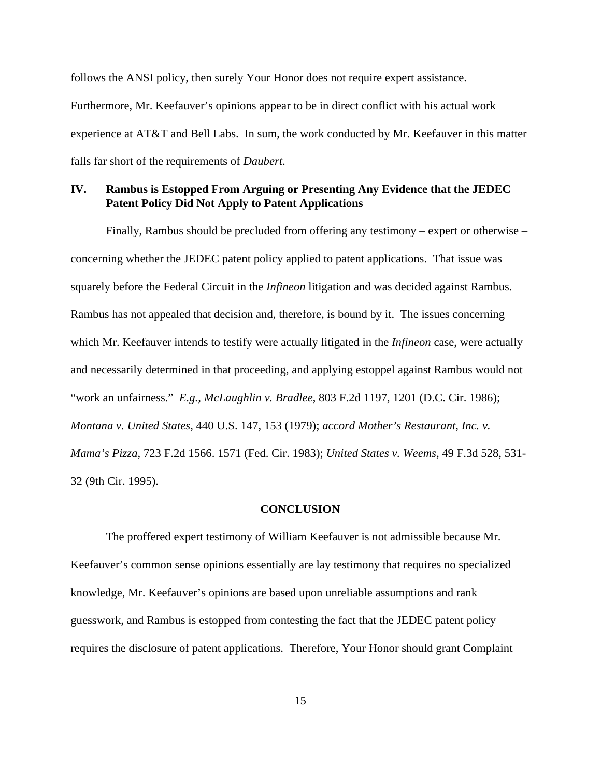follows the ANSI policy, then surely Your Honor does not require expert assistance. Furthermore, Mr. Keefauver's opinions appear to be in direct conflict with his actual work experience at AT&T and Bell Labs. In sum, the work conducted by Mr. Keefauver in this matter falls far short of the requirements of *Daubert*.

## **IV. Rambus is Estopped From Arguing or Presenting Any Evidence that the JEDEC Patent Policy Did Not Apply to Patent Applications**

Finally, Rambus should be precluded from offering any testimony – expert or otherwise – concerning whether the JEDEC patent policy applied to patent applications. That issue was squarely before the Federal Circuit in the *Infineon* litigation and was decided against Rambus. Rambus has not appealed that decision and, therefore, is bound by it. The issues concerning which Mr. Keefauver intends to testify were actually litigated in the *Infineon* case, were actually and necessarily determined in that proceeding, and applying estoppel against Rambus would not "work an unfairness." *E.g., McLaughlin v. Bradlee*, 803 F.2d 1197, 1201 (D.C. Cir. 1986); *Montana v. United States*, 440 U.S. 147, 153 (1979); *accord Mother's Restaurant, Inc. v. Mama's Pizza*, 723 F.2d 1566. 1571 (Fed. Cir. 1983); *United States v. Weems*, 49 F.3d 528, 531- 32 (9th Cir. 1995).

#### **CONCLUSION**

The proffered expert testimony of William Keefauver is not admissible because Mr. Keefauver's common sense opinions essentially are lay testimony that requires no specialized knowledge, Mr. Keefauver's opinions are based upon unreliable assumptions and rank guesswork, and Rambus is estopped from contesting the fact that the JEDEC patent policy requires the disclosure of patent applications. Therefore, Your Honor should grant Complaint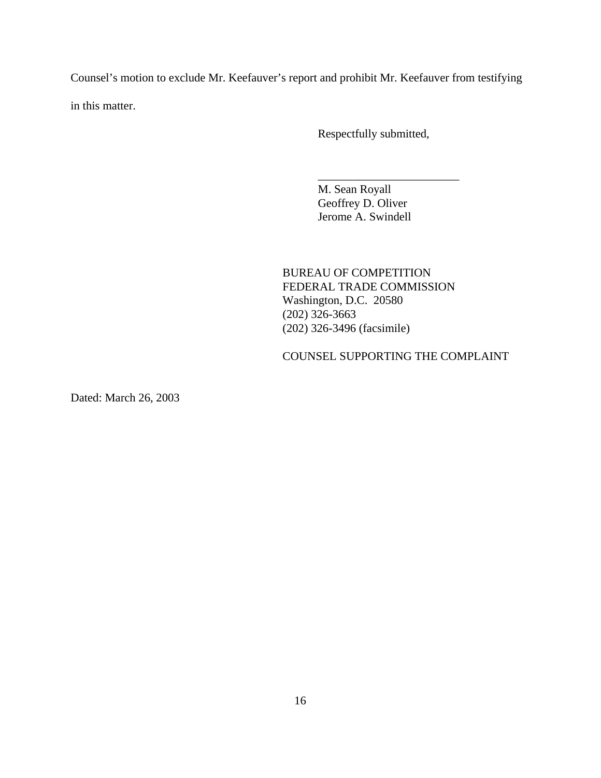Counsel's motion to exclude Mr. Keefauver's report and prohibit Mr. Keefauver from testifying in this matter.

Respectfully submitted,

\_\_\_\_\_\_\_\_\_\_\_\_\_\_\_\_\_\_\_\_\_\_\_\_

M. Sean Royall Geoffrey D. Oliver Jerome A. Swindell

BUREAU OF COMPETITION FEDERAL TRADE COMMISSION Washington, D.C. 20580 (202) 326-3663 (202) 326-3496 (facsimile)

COUNSEL SUPPORTING THE COMPLAINT

Dated: March 26, 2003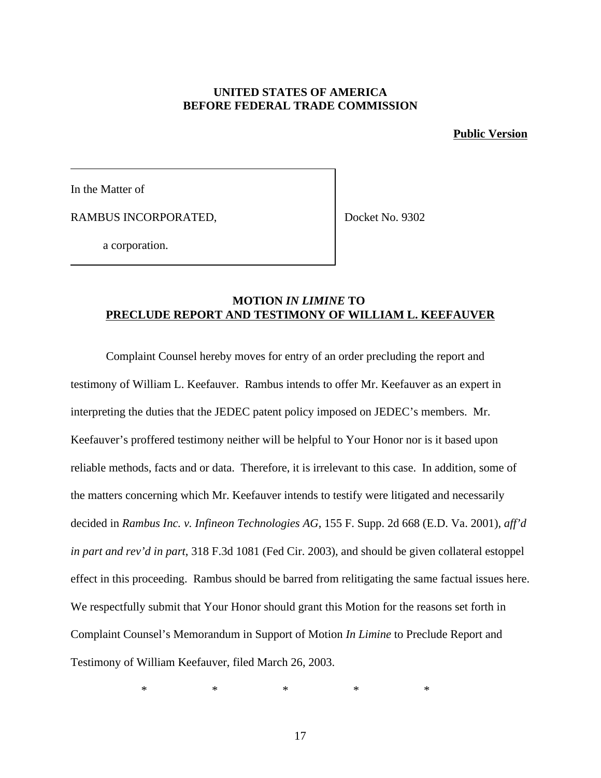## **UNITED STATES OF AMERICA BEFORE FEDERAL TRADE COMMISSION**

**Public Version**

In the Matter of

RAMBUS INCORPORATED,

Docket No. 9302

a corporation.

## **MOTION** *IN LIMINE* **TO PRECLUDE REPORT AND TESTIMONY OF WILLIAM L. KEEFAUVER**

Complaint Counsel hereby moves for entry of an order precluding the report and testimony of William L. Keefauver. Rambus intends to offer Mr. Keefauver as an expert in interpreting the duties that the JEDEC patent policy imposed on JEDEC's members. Mr. Keefauver's proffered testimony neither will be helpful to Your Honor nor is it based upon reliable methods, facts and or data. Therefore, it is irrelevant to this case. In addition, some of the matters concerning which Mr. Keefauver intends to testify were litigated and necessarily decided in *Rambus Inc. v. Infineon Technologies AG*, 155 F. Supp. 2d 668 (E.D. Va. 2001), *aff'd in part and rev'd in part*, 318 F.3d 1081 (Fed Cir. 2003), and should be given collateral estoppel effect in this proceeding. Rambus should be barred from relitigating the same factual issues here. We respectfully submit that Your Honor should grant this Motion for the reasons set forth in Complaint Counsel's Memorandum in Support of Motion *In Limine* to Preclude Report and Testimony of William Keefauver, filed March 26, 2003.

 $*$  \* \* \* \* \*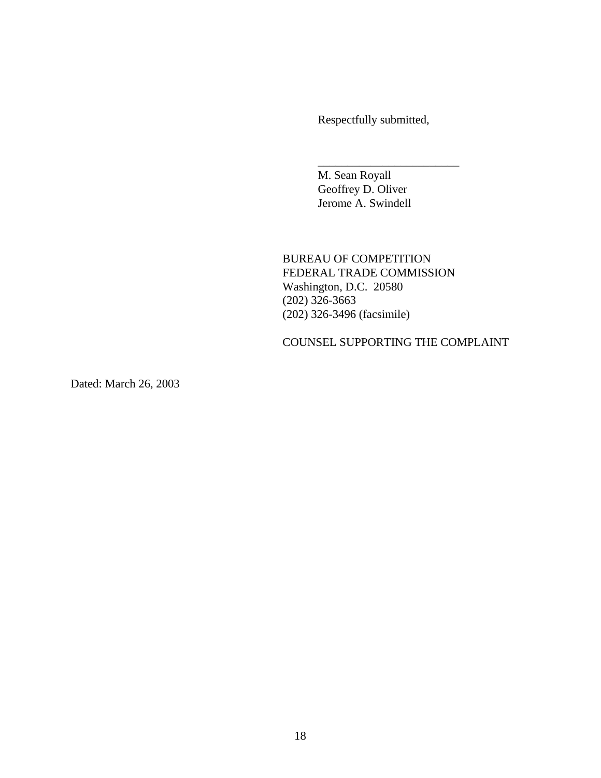Respectfully submitted,

\_\_\_\_\_\_\_\_\_\_\_\_\_\_\_\_\_\_\_\_\_\_\_\_

M. Sean Royall Geoffrey D. Oliver Jerome A. Swindell

BUREAU OF COMPETITION FEDERAL TRADE COMMISSION Washington, D.C. 20580 (202) 326-3663 (202) 326-3496 (facsimile)

COUNSEL SUPPORTING THE COMPLAINT

Dated: March 26, 2003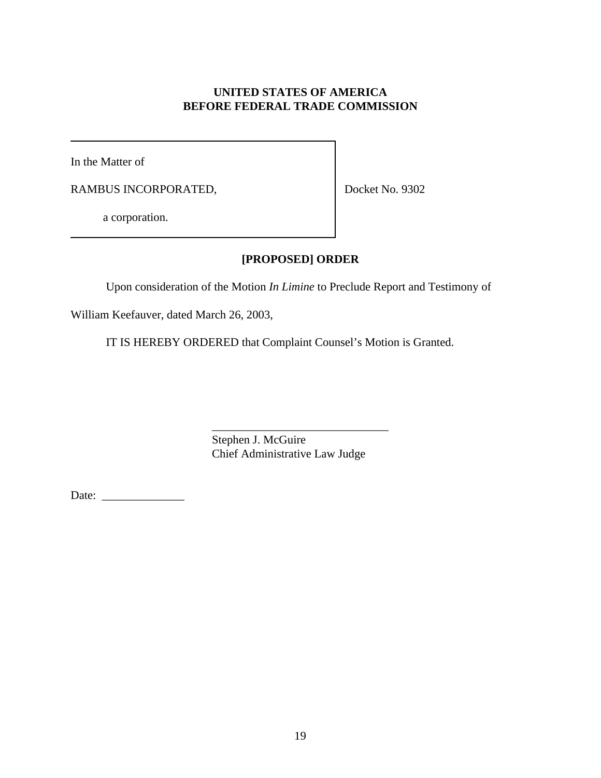# **UNITED STATES OF AMERICA BEFORE FEDERAL TRADE COMMISSION**

In the Matter of

RAMBUS INCORPORATED,

Docket No. 9302

a corporation.

# **[PROPOSED] ORDER**

Upon consideration of the Motion *In Limine* to Preclude Report and Testimony of

William Keefauver, dated March 26, 2003,

IT IS HEREBY ORDERED that Complaint Counsel's Motion is Granted.

\_\_\_\_\_\_\_\_\_\_\_\_\_\_\_\_\_\_\_\_\_\_\_\_\_\_\_\_\_\_ Stephen J. McGuire Chief Administrative Law Judge

Date: \_\_\_\_\_\_\_\_\_\_\_\_\_\_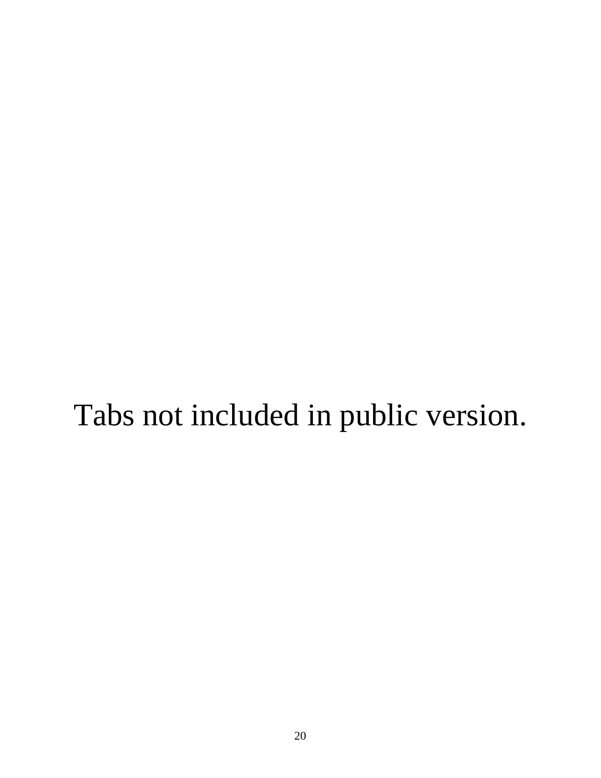# Tabs not included in public version.